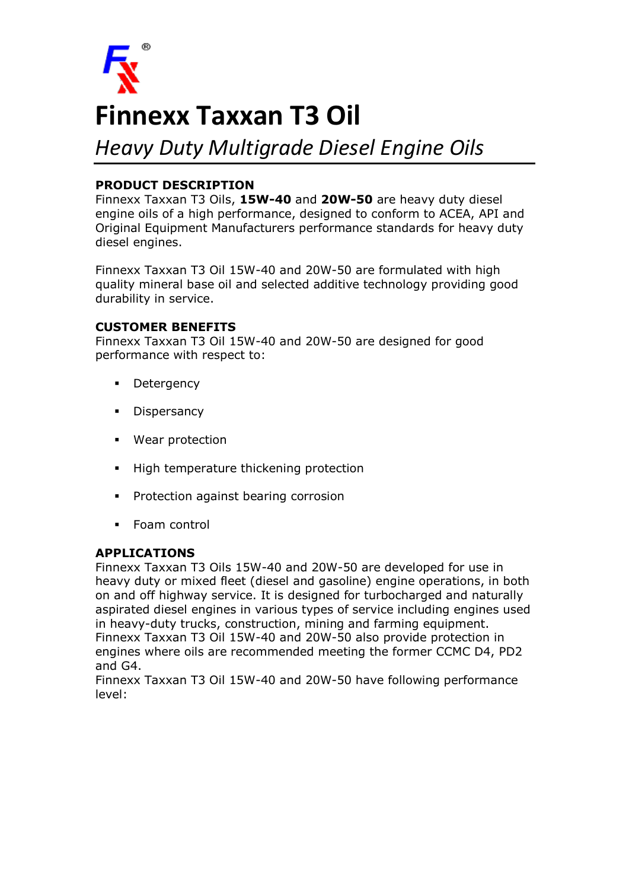

# **Finnexx Taxxan T3 Oil**

## *Heavy Duty Multigrade Diesel Engine Oils*

### **PRODUCT DESCRIPTION**

Finnexx Taxxan T3 Oils, **15W-40** and **20W-50** are heavy duty diesel engine oils of a high performance, designed to conform to ACEA, API and Original Equipment Manufacturers performance standards for heavy duty diesel engines.

Finnexx Taxxan T3 Oil 15W-40 and 20W-50 are formulated with high quality mineral base oil and selected additive technology providing good durability in service.

### **CUSTOMER BENEFITS**

Finnexx Taxxan T3 Oil 15W-40 and 20W-50 are designed for good performance with respect to:

- **Detergency**
- **•** Dispersancy
- § Wear protection
- § High temperature thickening protection
- **•** Protection against bearing corrosion
- § Foam control

#### **APPLICATIONS**

Finnexx Taxxan T3 Oils 15W-40 and 20W-50 are developed for use in heavy duty or mixed fleet (diesel and gasoline) engine operations, in both on and off highway service. It is designed for turbocharged and naturally aspirated diesel engines in various types of service including engines used in heavy-duty trucks, construction, mining and farming equipment. Finnexx Taxxan T3 Oil 15W-40 and 20W-50 also provide protection in engines where oils are recommended meeting the former CCMC D4, PD2 and G4.

Finnexx Taxxan T3 Oil 15W-40 and 20W-50 have following performance level: